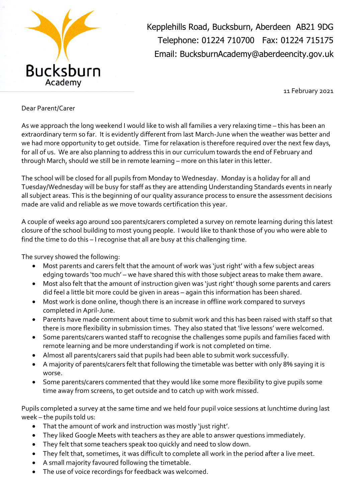

Kepplehills Road, Bucksburn, Aberdeen AB21 9DG Telephone: 01224 710700 Fax: 01224 715175 Email: BucksburnAcademy@aberdeencity.gov.uk

11 February 2021

## Dear Parent/Carer

As we approach the long weekend I would like to wish all families a very relaxing time – this has been an extraordinary term so far. It is evidently different from last March-June when the weather was better and we had more opportunity to get outside. Time for relaxation is therefore required over the next few days, for all of us. We are also planning to address this in our curriculum towards the end of February and through March, should we still be in remote learning – more on this later in this letter.

The school will be closed for all pupils from Monday to Wednesday. Monday is a holiday for all and Tuesday/Wednesday will be busy for staff as they are attending Understanding Standards events in nearly all subject areas. This is the beginning of our quality assurance process to ensure the assessment decisions made are valid and reliable as we move towards certification this year.

A couple of weeks ago around 100 parents/carers completed a survey on remote learning during this latest closure of the school building to most young people. I would like to thank those of you who were able to find the time to do this – I recognise that all are busy at this challenging time.

The survey showed the following:

- Most parents and carers felt that the amount of work was 'just right' with a few subject areas edging towards 'too much' – we have shared this with those subject areas to make them aware.
- Most also felt that the amount of instruction given was 'just right' though some parents and carers did feel a little bit more could be given in areas – again this information has been shared.
- Most work is done online, though there is an increase in offline work compared to surveys completed in April-June.
- Parents have made comment about time to submit work and this has been raised with staff so that there is more flexibility in submission times. They also stated that 'live lessons' were welcomed.
- Some parents/carers wanted staff to recognise the challenges some pupils and families faced with remote learning and be more understanding if work is not completed on time.
- Almost all parents/carers said that pupils had been able to submit work successfully.
- A majority of parents/carers felt that following the timetable was better with only 8% saying it is worse.
- Some parents/carers commented that they would like some more flexibility to give pupils some time away from screens, to get outside and to catch up with work missed.

Pupils completed a survey at the same time and we held four pupil voice sessions at lunchtime during last week – the pupils told us:

- That the amount of work and instruction was mostly 'just right'.
- They liked Google Meets with teachers as they are able to answer questions immediately.
- They felt that some teachers speak too quickly and need to slow down.
- They felt that, sometimes, it was difficult to complete all work in the period after a live meet.
- A small majority favoured following the timetable.
- The use of voice recordings for feedback was welcomed.